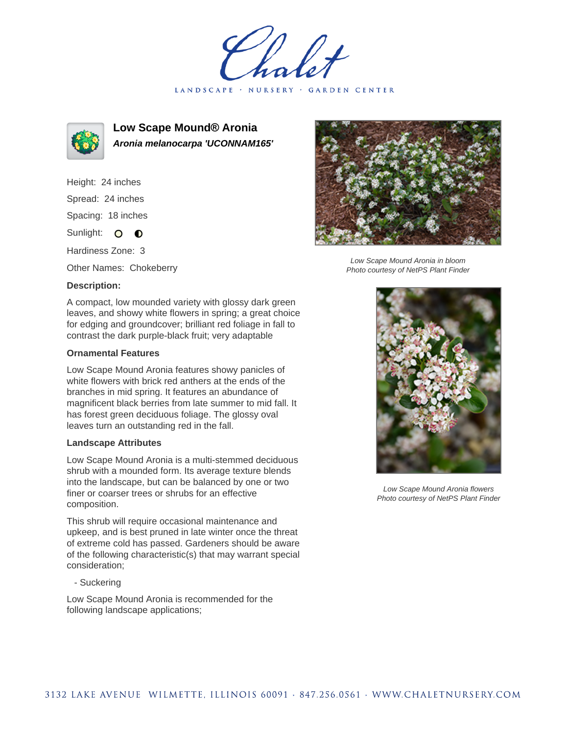LANDSCAPE · NURSERY · GARDEN CENTER



**Low Scape Mound® Aronia Aronia melanocarpa 'UCONNAM165'**

Height: 24 inches Spread: 24 inches Spacing: 18 inches Sunlight: O **O** 

Hardiness Zone: 3

Other Names: Chokeberry

## **Description:**

A compact, low mounded variety with glossy dark green leaves, and showy white flowers in spring; a great choice for edging and groundcover; brilliant red foliage in fall to contrast the dark purple-black fruit; very adaptable

## **Ornamental Features**

Low Scape Mound Aronia features showy panicles of white flowers with brick red anthers at the ends of the branches in mid spring. It features an abundance of magnificent black berries from late summer to mid fall. It has forest green deciduous foliage. The glossy oval leaves turn an outstanding red in the fall.

## **Landscape Attributes**

Low Scape Mound Aronia is a multi-stemmed deciduous shrub with a mounded form. Its average texture blends into the landscape, but can be balanced by one or two finer or coarser trees or shrubs for an effective composition.

This shrub will require occasional maintenance and upkeep, and is best pruned in late winter once the threat of extreme cold has passed. Gardeners should be aware of the following characteristic(s) that may warrant special consideration;

- Suckering

Low Scape Mound Aronia is recommended for the following landscape applications;



Low Scape Mound Aronia in bloom Photo courtesy of NetPS Plant Finder



Low Scape Mound Aronia flowers Photo courtesy of NetPS Plant Finder